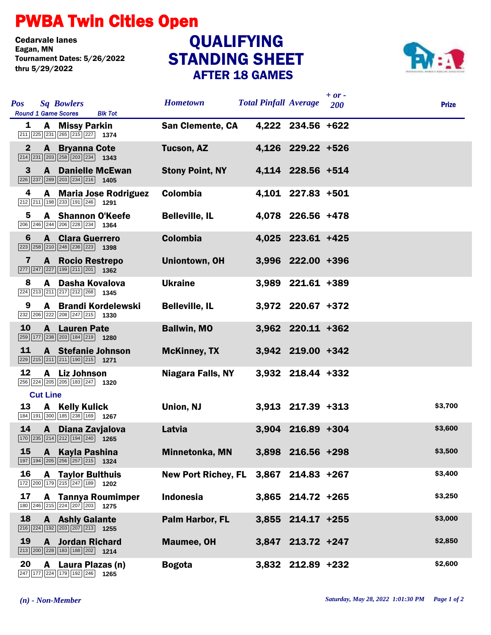## PWBA Twin Cities Open

Cedarvale lanes<br>Eagan, MN Tournament Dates: 5/26/2022 thru 5/29/2022

## STANDING SHEET AFTER 18 GAMES **QUALIFYING**



| <b>Pos</b><br><b>Sq Bowlers</b><br><b>Round 1 Game Scores</b><br><b>Blk Tot</b>                                                          | <b>Hometown</b>                       | <b>Total Pinfall Average</b> |                   | $+ or -$<br>200 | <b>Prize</b> |
|------------------------------------------------------------------------------------------------------------------------------------------|---------------------------------------|------------------------------|-------------------|-----------------|--------------|
| A Missy Parkin<br>1<br>$\boxed{211}$ $\boxed{225}$ $\boxed{231}$ $\boxed{265}$ $\boxed{215}$ $\boxed{227}$ <b>1374</b>                   | <b>San Clemente, CA</b>               |                              | 4,222 234.56 +622 |                 |              |
| $\mathbf{2}$<br><b>A</b> Bryanna Cote<br>$\boxed{234}$ $\boxed{231}$ $\boxed{203}$ $\boxed{258}$ $\boxed{203}$ $\boxed{234}$ <b>1343</b> | <b>Tucson, AZ</b>                     |                              | 4,126 229.22 +526 |                 |              |
| 3<br><b>A</b> Danielle McEwan<br>$\boxed{226}$ $\boxed{237}$ $\boxed{289}$ $\boxed{203}$ $\boxed{234}$ $\boxed{216}$ <b>1405</b>         | <b>Stony Point, NY</b>                |                              | 4,114 228.56 +514 |                 |              |
| 4<br>A Maria Jose Rodriguez<br>212 211 198 233 191 246 1291                                                                              | Colombia                              |                              | 4,101 227.83 +501 |                 |              |
| 5<br>A Shannon O'Keefe<br>206 246 244 206 228 234 1364                                                                                   | <b>Belleville, IL</b>                 |                              | 4,078 226.56 +478 |                 |              |
| 6<br><b>A</b> Clara Guerrero<br>$\boxed{223}\boxed{258}\boxed{210}\boxed{248}\boxed{236}\boxed{223}$ 1398                                | <b>Colombia</b>                       |                              | 4,025 223.61 +425 |                 |              |
| <b>A</b> Rocio Restrepo<br>7<br>$\boxed{277}$ $\boxed{247}$ $\boxed{227}$ $\boxed{199}$ $\boxed{211}$ $\boxed{201}$ <b>1362</b>          | Uniontown, OH                         |                              | 3,996 222.00 +396 |                 |              |
| A Dasha Kovalova<br>8<br>224 213 211 217 212 268 1345                                                                                    | <b>Ukraine</b>                        |                              | 3,989 221.61 +389 |                 |              |
| A Brandi Kordelewski<br>9<br>232 206 222 208 247 215 1330                                                                                | <b>Belleville, IL</b>                 |                              | 3,972 220.67 +372 |                 |              |
| 10<br><b>A</b> Lauren Pate<br>259 177 238 203 184 219 1280                                                                               | <b>Ballwin, MO</b>                    |                              | 3,962 220.11 +362 |                 |              |
| 11<br><b>A</b> Stefanie Johnson<br>229 215 211 211 190 215 1271                                                                          | <b>McKinney, TX</b>                   |                              | 3,942 219.00 +342 |                 |              |
| 12<br>A Liz Johnson<br>256 224 205 205 183 247 1320                                                                                      | Niagara Falls, NY                     |                              | 3,932 218.44 +332 |                 |              |
| <b>Cut Line</b>                                                                                                                          |                                       |                              |                   |                 |              |
| 13<br>A Kelly Kulick<br>184 191 300 185 238 169 1267                                                                                     | Union, NJ                             |                              | 3,913 217.39 +313 |                 | \$3,700      |
| 14<br>A Diana Zavjalova<br>$\boxed{170}$ $\boxed{235}$ $\boxed{214}$ $\boxed{212}$ $\boxed{194}$ $\boxed{240}$ 1265                      | Latvia                                |                              | 3,904 216.89 +304 |                 | \$3,600      |
| 15 A Kayla Pashina<br>197 194 205 256 257 215 1324                                                                                       | Minnetonka, MN                        |                              | 3,898 216.56 +298 |                 | \$3,500      |
| 16<br><b>A</b> Taylor Bulthuis<br>172 200 179 215 247 189 1202                                                                           | New Port Richey, FL 3,867 214.83 +267 |                              |                   |                 | \$3,400      |
| 17<br><b>A</b> Tannya Roumimper<br>$\boxed{180}$ $\boxed{246}$ $\boxed{215}$ $\boxed{224}$ $\boxed{207}$ $\boxed{203}$ <b>1275</b>       | <b>Indonesia</b>                      |                              | 3,865 214.72 +265 |                 | \$3,250      |
| 18<br><b>A</b> Ashly Galante<br>$\boxed{216}$ $\boxed{224}$ $\boxed{192}$ $\boxed{203}$ $\boxed{207}$ $\boxed{213}$ <b>1255</b>          | Palm Harbor, FL                       |                              | 3,855 214.17 +255 |                 | \$3,000      |
| 19<br><b>A</b> Jordan Richard<br>$\boxed{213}$ $\boxed{200}$ $\boxed{228}$ $\boxed{183}$ $\boxed{188}$ $\boxed{202}$ <b>1214</b>         | <b>Maumee, OH</b>                     |                              | 3,847 213.72 +247 |                 | \$2,850      |
| 20<br>A Laura Plazas (n)<br>247 177 224 179 192 246 1265                                                                                 | <b>Bogota</b>                         |                              | 3,832 212.89 +232 |                 | \$2,600      |